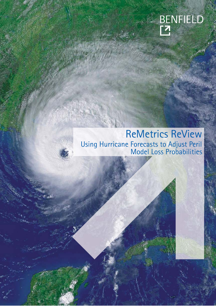

# ReMetrics ReView Using Hurricane Forecasts to Adjust Peril Model Loss Probabilities

W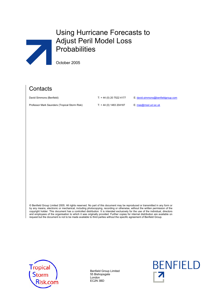# Using Hurricane Forecasts to Adjust Peril Model Loss **Probabilities**

October 2005

## **Contacts**

 $\overline{\phantom{a}}$ 

Professor Mark Saunders (Tropical Storm Risk) T: +44 (0) 1483 204187 E: mas@mssl.ucl.ac.uk

David Simmons (Benfield) T: + 44 (0) 20 7522 4177 E: david.simmons@benfieldgroup.com

© Benfield Group Limited 2005. All rights reserved. No part of this document may be reproduced or transmitted in any form or by any means, electronic or mechanical, including photocopying, recording or otherwise, without the written permission of the copyright holder. This document has a controlled distribution. It is intended exclusively for the use of the individual, directors and employees of the organisation to which it was originally provided. Further copies for internal distribution are available on request but the document is not to be made available to third parties without the specific agreement of Benfield Group.



Benfield Group Limited 55 Bishopsgate London EC2N 3BD

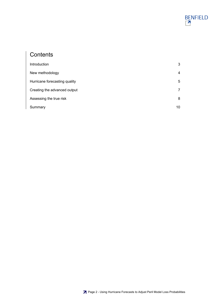# **Contents**

| Introduction                  | 3  |
|-------------------------------|----|
| New methodology               | 4  |
| Hurricane forecasting quality | 5  |
| Creating the advanced output  | 7  |
| Assessing the true risk       | 8  |
| Summary                       | 10 |

BENFIELD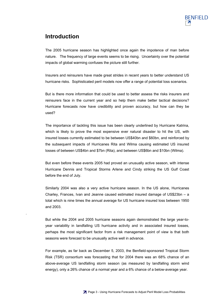

#### **Introduction**

.

The 2005 hurricane season has highlighted once again the impotence of man before nature. The frequency of large events seems to be rising. Uncertainty over the potential impacts of global warming confuses the picture still further.

Insurers and reinsurers have made great strides in recent years to better understand US hurricane risks. Sophisticated peril models now offer a range of potential loss scenarios.

But is there more information that could be used to better assess the risks insurers and reinsurers face in the current year and so help them make better tactical decisions? Hurricane forecasts now have credibility and proven accuracy, but how can they be used?

The importance of tackling this issue has been clearly underlined by Hurricane Katrina, which is likely to prove the most expensive ever natural disaster to hit the US, with insured losses currently estimated to be between US\$40bn and \$60bn, and reinforced by the subsequent impacts of Hurricanes Rita and Wilma causing estimated US insured losses of between US\$4bn and \$7bn (Rita), and between US\$6bn and \$10bn (Wilma).

But even before these events 2005 had proved an unusually active season, with intense Hurricane Dennis and Tropical Storms Arlene and Cindy striking the US Gulf Coast before the end of July.

Similarly 2004 was also a very active hurricane season. In the US alone, Hurricanes Charley, Frances, Ivan and Jeanne caused estimated insured damage of US\$23bn – a total which is nine times the annual average for US hurricane insured loss between 1950 and 2003.

But while the 2004 and 2005 hurricane seasons again demonstrated the large year-toyear variability in landfalling US hurricane activity and in associated insured losses, perhaps the most significant factor from a risk management point of view is that both seasons were forecast to be unusually active well in advance.

For example, as far back as December 5, 2003, the Benfield-sponsored Tropical Storm Risk (TSR) consortium was forecasting that for 2004 there was an 68% chance of an above-average US landfalling storm season (as measured by landfalling storm wind energy), only a 26% chance of a normal year and a 6% chance of a below-average year.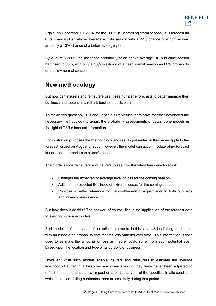

Again, on December 10, 2004, for the 2005 US landfalling storm season TSR forecast an 65% chance of an above average activity season with a 22% chance of a normal year and only a 13% chance of a below average year.

By August 5 2005, the assessed probability of an above average US hurricane season had risen to 85%, with only a 15% likelihood of a near normal season and 0% probability of a below normal season.

#### **New methodology**

But how can insurers and reinsurers use these hurricane forecasts to better manage their business and, potentially, rethink business decisions?

To tackle this question, TSR and Benfield's ReMetrics team have together developed the necessary methodology to adjust the probability assessments of catastrophe models in the light of TSR's forecast information.

For illustration purposes the methodology and results presented in this paper apply to the forecast issued on August 5, 2005. However, the model can accommodate other forecast issue times appropriate to a user's needs.

The model allows reinsurers and insurers to see how the latest hurricane forecast:

- Changes the expected or average level of loss for the coming season
- Adjusts the expected likelihood of extreme losses for the coming season
- Provides a better reference for the cost/benefit of adjustments to both outwards and inwards reinsurance

But how does it do this? The answer, of course, lies in the application of the forecast data to existing hurricane models.

Peril models define a series of potential loss events, in this case US landfalling hurricanes, with an associated probability that reflects loss patterns over time. This information is then used to estimate the amounts of loss an insurer could suffer from each potential event based upon the location and type of its portfolio of business.

However, while such models enable insurers and reinsurers to estimate the average likelihood of suffering a loss over any given amount, they have never been adjusted to reflect the additional potential impact on a particular year of the specific climatic conditions which make landfalling hurricanes more or less likely during that period.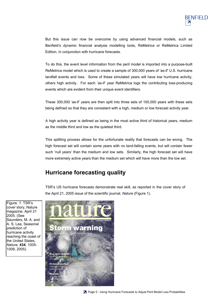

But this issue can now be overcome by using advanced financial models, such as Benfield's dynamic financial analysis modelling tools, ReMetrica or ReMetrica Limited Edition, in conjunction with hurricane forecasts.

To do this, the event level information from the peril model is imported into a purpose-built ReMetrica model which is used to create a sample of 300,000 years of 'as-if' U.S. hurricane landfall events and loss. Some of these simulated years will have low hurricane activity, others high activity. For each 'as-if' year ReMetrica logs the contributing loss-producing events which are evident from their unique event identifiers.

These 300,000 'as-if' years are then split into three sets of 100,000 years with these sets being defined so that they are consistent with a high, medium or low forecast activity year.

A high activity year is defined as being in the most active third of historical years, medium as the middle third and low as the quietest third.

This splitting process allows for the unfortunate reality that forecasts can be wrong. The high forecast set will contain some years with no land-falling events, but will contain fewer such 'null years' than the medium and low sets. Similarly, the high forecast set will have more extremely active years than the medium set which will have more than the low set.

### **Hurricane forecasting quality**

TSR's US hurricane forecasts demonstrate real skill, as reported in the cover story of the April 21, 2005 issue of the scientific journal, *Nature* (Figure 1).

Figure. 1: TSR's cover story, Nature magazine, April 21 2005. (See Saunders, M. A. and A. S. Lea, Seasonal prediction of hurricane activity reaching the coast of the United States, *Nature,* **434**, 1005- 1008, 2005).

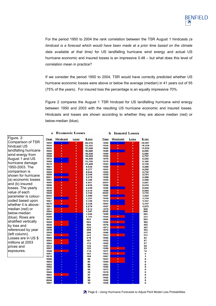

For the period 1950 to 2004 the rank correlation between the TSR August 1 hindcasts *(a hindcast is a forecast which would have been made at a prior time based on the climate data available at that time)* for US landfalling hurricane wind energy and actual US hurricane economic and insured losses is an impressive 0.48 – but what does this level of correlation mean in practice?

If we consider the period 1950 to 2004, TSR would have correctly predicted whether US hurricane economic losses were above or below the average (median) in 41 years out of 55 (75% of the years). For insured loss the percentage is an equally impressive 70%.

Figure 2 compares the August 1 TSR hindcast for US landfalling hurricane wind energy between 1950 and 2003 with the resulting US hurricane economic and insured losses. Hindcasts and losses are shown according to whether they are above median (red) or below-median (blue).

| Figure. 2:            |
|-----------------------|
| Comparison of TSR     |
| hindcast US           |
| landfalling hurricane |
| wind energy from      |
| August 1 and US       |
| hurricane damage      |
| 1950-2003. The        |
| comparison is         |
| shown for hurricane   |
| (a) economic losses   |
| and (b) insured       |
| losses. The yearly    |
| value of each         |
| parameter is colour-  |
| coded based upon      |
| whether it is above-  |
| median (red) or       |
| below-median          |
| (blue). Rows are      |
| stratified vertically |
| by loss and           |
| referenced by year    |
| (left column).        |
| Losses are in US \$   |
| millions at 2003      |
| prices and            |
| exposures.            |
|                       |

| a            | <b>Economic Losses</b> |            |            |              | b<br><b>Insured Losses</b> |                      |            |  |
|--------------|------------------------|------------|------------|--------------|----------------------------|----------------------|------------|--|
| Year         | <b>Hindcast</b>        | Loss       | \$mn       | Year         | <b>Hindcast</b>            | Loss                 | \$mn       |  |
| 1992         | ¥                      | ٠          | 44.014     | 1992         | E                          | ٠                    | 29,597     |  |
| 1954         | ٠                      | ٠          | 23,302     | 1954         | ÷                          | ٠                    | 18,259     |  |
| 1955         | ٠                      | ٠          | 17,548     | 1965         | ٠                          | ٠                    | 13,922     |  |
| 1965         | ٠                      | ÷          | 16,888     | 1989         | Ξ                          | ٠                    | 6,845      |  |
| 1960         | ٠                      | $\ddot{ }$ | 16.236     | 1964         | ٠                          | $\ddot{\phantom{1}}$ | 5.885      |  |
| 1969         | ٠                      |            | 14,584     | 1960         | ÷                          |                      | 5,707      |  |
| 1972         | Ξ                      | ♦          | 14,258     | 1970         | ٠                          | ÷                    | 5,522      |  |
| 1989         | ۰                      | ¥          | 13,705     | 1979         | t                          | ÷                    | 5,160      |  |
| 1979         | ٠                      | 4          | 11,489     | 1983         |                            | ÷                    | 4,729      |  |
| 1961         | ٠                      | ¥          | 9,536      | 1985         | ٠                          | ÷                    | 4,298      |  |
| 1964         | ٠                      | ÷          | 9,377      | 1961         | ٠                          | ÷                    | 4,202      |  |
| 1985         | ٠                      |            | 8,834      | 1995         | ٠                          | ÷                    | 3,710      |  |
| 1999         | τ                      | $+$ + +    | 6,346      | 1950         | ÷                          | ÷                    | 3,701      |  |
| 2001         | Ŧ                      |            | 5,579      | 1969         | ٠                          | ¥                    | 3,568      |  |
| 1983         | ÷                      | ¥          | 5,395      | 1955         | ٠                          | ÷                    | 2,946      |  |
| 1995         | ٠                      | ÷          | 4,957      | 2001         | ٠                          | ÷                    | 2,667      |  |
| 1996         | ٠                      | ¥          | 4,635      | 1996         | ÷                          | ÷                    | 2,514      |  |
| 1970         | ٠                      | ÷          | 4,439      | 1999         | E                          | ÷                    | 2,430      |  |
| 1998         | ÷                      | $\ddot{ }$ | 4.414      | 1998         | ٠                          | $\ddot{\phantom{1}}$ | 2.044      |  |
| 1950         |                        |            | 3,732      | 2003         | ÷                          |                      | 1,775      |  |
| 2003         | ٠                      | ¥          | 3,580      | 1957         | Ξ                          | ÷                    | 1,422      |  |
| 1957         | š                      | ÷          | 3,251      | 1959         | t                          | ÷                    | 1,214      |  |
| 1967         | ٠                      | ÷          | 2,726      | 1972         |                            | ÷                    | 1,157      |  |
| 1975         | ÷                      | ÷          | 2,336      | 1991         | ٠                          | ¥                    | 1,117      |  |
| 1991         | ÷                      | ÷          | 2,279      | 1967         | ٠                          | ÷                    | 1,073      |  |
| 1971         | ۰                      | $\ddot{ }$ | 1,612      | 1975         | ٠                          | $\ddot{ }$           | 946        |  |
| 1994         | ÷                      |            | 1,367      | 2002         | τ                          |                      | 648        |  |
| 2002         |                        | E          | 1,244      | 1980         | ۰                          | ĩ,                   | 343        |  |
| 1980         | ÷                      | ٠          | 1.151      | 1956         | ŧ                          | ä,                   | 332        |  |
| 1974         |                        | ٠          | 953        | 1966         | ٠                          | ٠                    | 255        |  |
| 1959         | ٠                      | ٠          | 594        | 1984         | ٠                          | ٠                    | 162        |  |
| 1956         | t                      | ٠          | 466        | 1976         | Ξ                          | ٠                    | 155        |  |
| 1968<br>1976 | ä,<br>ä,               | ÷          | 425<br>408 | 1971<br>1974 | ٠<br>Ξ                     | ٠                    | 147<br>143 |  |
| 1958         |                        | ٠<br>٠     | 296        | 1968         |                            | ä,                   | 117        |  |
| 1951         |                        | ٠          | 242        | 1953         | ۰                          | ۰<br>٠               | 113        |  |
| 1966         | t                      | ÷          | 219        | 1986         | ŧ                          | ٠                    | 84         |  |
| 1963         | ÷<br>٠                 | ä,         | 197        | 1952         |                            | ä,                   | 67         |  |
| 1984         |                        | ٠          | 173        | 1993         |                            | ٠                    | 57         |  |
| 1973         | ۰                      | ٠          | 126        | 1997         |                            | ٠                    | 50         |  |
| 1997         | ÷                      | ٠          | 123        | 1988         | ¥                          | ä,                   | 23         |  |
| 1988         | ٠                      | ٠          | 116        | 1977         |                            | ٠                    | 14         |  |
| 1981         | ä,                     | ٠          | 102        | 1963         | ۰                          | ٠                    | 5          |  |
| 1978         |                        | ÷          | 100        | 1987         | ٠                          | ٠                    | 1          |  |
| 1990         |                        | ٠          | 99         | 1951         | ٠                          | ٠                    | 0          |  |
| 1993         | ÷                      | ٠          | 85         | 1994         | t                          | ٠                    | 0          |  |
| 1952         |                        | ٠          | 84         | 1981         | ٠                          | ٠                    | 0          |  |
| 1962         |                        | ٠          | 56         | 1990         | ÷                          | ä,                   | 0          |  |
| 1977         | ٠                      | ٠          | 44         | 1973         |                            | ٠                    | 0          |  |
| 1986         |                        |            | 39         | 1978         |                            | ٠                    | 0          |  |
| 1953         | ٠                      |            | 37         | 2000         |                            | ÷                    | 0          |  |
| 1982         | ÷                      |            | 36         | 1962         |                            | ٠                    | 0          |  |
| 2000         | ä,                     |            | 30         | 1982         |                            | ٠                    | 0          |  |
| 1987         |                        |            | 18         | 1958         |                            |                      | $\bf{0}$   |  |
|              |                        |            |            |              |                            |                      |            |  |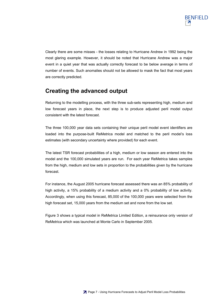Clearly there are some misses - the losses relating to Hurricane Andrew in 1992 being the most glaring example. However, it should be noted that Hurricane Andrew was a major event in a quiet year that was actually correctly forecast to be below average in terms of number of events. Such anomalies should not be allowed to mask the fact that most years are correctly predicted.

#### **Creating the advanced output**

Returning to the modelling process, with the three sub-sets representing high, medium and low forecast years in place, the next step is to produce adjusted peril model output consistent with the latest forecast.

The three 100,000 year data sets containing their unique peril model event identifiers are loaded into the purpose-built ReMetrica model and matched to the peril model's loss estimates (with secondary uncertainty where provided) for each event.

The latest TSR forecast probabilities of a high, medium or low season are entered into the model and the 100,000 simulated years are run. For each year ReMetrica takes samples from the high, medium and low sets in proportion to the probabilities given by the hurricane forecast.

For instance, the August 2005 hurricane forecast assessed there was an 85% probability of high activity, a 15% probability of a medium activity and a 0% probability of low activity. Accordingly, when using this forecast, 85,000 of the 100,000 years were selected from the high forecast set, 15,000 years from the medium set and none from the low set.

Figure 3 shows a typical model in ReMetrica Limited Edition, a reinsurance only version of ReMetrica which was launched at Monte Carlo in September 2005.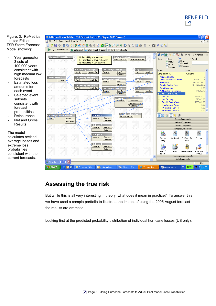



### **Assessing the true risk**

But while this is all very interesting in theory, what does it mean in practice? To answer this we have used a sample portfolio to illustrate the impact of using the 2005 August forecast the results are dramatic.

Looking first at the predicted probability distribution of individual hurricane losses (US only):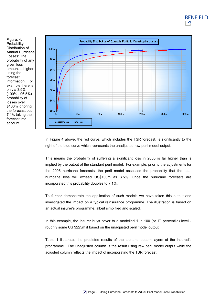

**BENFIELD** 

 $\overline{\mathbf{z}}$ 

Figure. 4: **Probability** Distribution of

Losses: The

given loss

using the forecast

only a 3.5% (100% - 96.5%) probability of losses over \$100m ignoring the forecast but 7.1% taking the forecast into account.

> In Figure 4 above, the red curve, which includes the TSR forecast, is significantly to the right of the blue curve which represents the unadjusted raw peril model output.

> This means the probability of suffering a significant loss in 2005 is far higher than is implied by the output of the standard peril model. For example, prior to the adjustments for the 2005 hurricane forecasts, the peril model assesses the probability that the total hurricane loss will exceed US\$100m as 3.5%. Once the hurricane forecasts are incorporated this probability doubles to 7.1%.

> To further demonstrate the application of such models we have taken this output and investigated the impact on a typical reinsurance programme. The illustration is based on an actual insurer's programme, albeit simplified and scaled.

> In this example, the insurer buys cover to a modelled 1 in 100 (or  $1<sup>st</sup>$  percentile) level roughly some US \$225m if based on the unadjusted peril model output.

> Table 1 illustrates the predicted results of the top and bottom layers of the insured's programme. The unadjusted column is the result using raw peril model output while the adjusted column reflects the impact of incorporating the TSR forecast.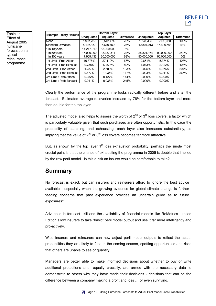

| <b>Example Treaty Results</b> | <b>Bottom Layer</b> |                 |                   | Top Layer         |                 |                   |
|-------------------------------|---------------------|-----------------|-------------------|-------------------|-----------------|-------------------|
|                               | <b>Unadjusted</b>   | <b>Adjusted</b> | <b>Difference</b> | <b>Unadjusted</b> | <b>Adjusted</b> | <b>Difference</b> |
| Mean                          | 1.997.257           | 3,512,474       | 76%               | 1,541,385         | 3,199,050       | 108%              |
| <b>Standard Deviation</b>     | 5,195,157           | 6,640,759       | 28%               | 10,804,913        | 15,490,591      | 43%               |
| 1 in 10 years                 | 14,217,910          | 15.000.000      | 6%                |                   |                 |                   |
| 1 in 50 years                 | 15.000.000          | 18.337.311      | 22%               | 25,821,164        | 90.000.000      | 249%              |
| 1 in 100 years                | 17,909,433          | 30,000,000      | 68%               | 90,000,000        | 90,000,000      | $0\%$             |
| 1st Limit: Prob Attach        | 16.378%             | 27.419%         | 67%               | 2.651%            | 5.374%          | 103%              |
| 1st Limit: Prob Exhaust       | 9.788%              | 17.573%         | 80%               | 1.043%            | 2.122%          | 103%              |
| 2nd Limit: Prob Attach        | 1.237%              | 2.509%          | 103%              | 0.025%            | 0.076%          | 204%              |
| 2nd Limit: Prob Exhaust       | 0.477%              | 1.036%          | 117%              | 0.003%            | 0.011%          | 267%              |
| 3rd Limit: Prob Attach        | 0.052%              | 0.127%          | 144%              | 0.000%            | 0.000%          |                   |
| 3rd Limit : Prob Exhaust      | 0.011%              | 0.038%          | 245%              | 0.000%            | 0.000%          |                   |

Clearly the performance of the programme looks radically different before and after the forecast. Estimated average recoveries increase by 76% for the bottom layer and more than double for the top layer.

The adjusted model also helps to assess the worth of  $2^{nd}$  or  $3^{rd}$  loss covers, a factor which is particularly valuable given that such purchases are often opportunistic. In this case the probability of attaching, and exhausting, each layer also increases substantially, so implying that the value of  $2^{nd}$  or  $3^{rd}$  loss covers becomes far more attractive.

But, as shown by the top layer  $1<sup>st</sup>$  loss exhaustion probability, perhaps the single most crucial point is that the chance of exhausting the programme in 2005 is double that implied by the raw peril model. Is this a risk an insurer would be comfortable to take?

#### **Summary**

No forecast is exact, but can insurers and reinsurers afford to ignore the best advice available - especially when the growing evidence for global climate change is further feeding concerns that past experience provides an uncertain guide as to future exposures?

Advances in forecast skill and the availability of financial models like ReMetrica Limited Edition allow insurers to take "basic" peril model output and use it far more intelligently and pro-actively.

Wise insurers and reinsurers can now adjust peril model outputs to reflect the actual probabilities they are likely to face in the coming season, spotting opportunities and risks that others are unable to see or quantify.

Managers are better able to make informed decisions about whether to buy or write additional protections and, equally crucially, are armed with the necessary data to demonstrate to others why they have made their decisions - decisions that can be the difference between a company making a profit and loss … or even surviving.